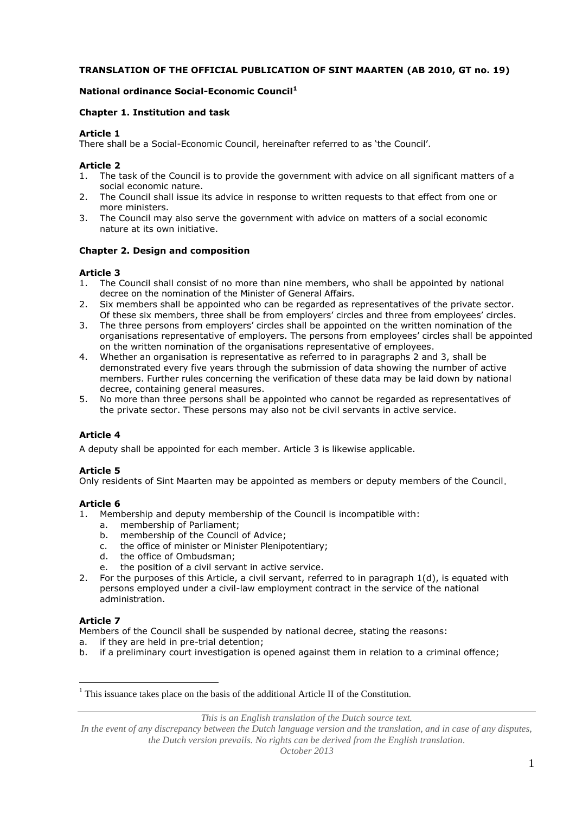# **TRANSLATION OF THE OFFICIAL PUBLICATION OF SINT MAARTEN (AB 2010, GT no. 19)**

## **National ordinance Social-Economic Council<sup>1</sup>**

### **Chapter 1. Institution and task**

### **Article 1**

There shall be a Social-Economic Council, hereinafter referred to as 'the Council'.

### **Article 2**

- 1. The task of the Council is to provide the government with advice on all significant matters of a social economic nature.
- 2. The Council shall issue its advice in response to written requests to that effect from one or more ministers.
- 3. The Council may also serve the government with advice on matters of a social economic nature at its own initiative.

### **Chapter 2. Design and composition**

### **Article 3**

- 1. The Council shall consist of no more than nine members, who shall be appointed by national decree on the nomination of the Minister of General Affairs.
- 2. Six members shall be appointed who can be regarded as representatives of the private sector. Of these six members, three shall be from employers' circles and three from employees' circles.
- 3. The three persons from employers' circles shall be appointed on the written nomination of the organisations representative of employers. The persons from employees' circles shall be appointed on the written nomination of the organisations representative of employees.
- 4. Whether an organisation is representative as referred to in paragraphs 2 and 3, shall be demonstrated every five years through the submission of data showing the number of active members. Further rules concerning the verification of these data may be laid down by national decree, containing general measures.
- 5. No more than three persons shall be appointed who cannot be regarded as representatives of the private sector. These persons may also not be civil servants in active service.

# **Article 4**

A deputy shall be appointed for each member. Article 3 is likewise applicable.

# **Article 5**

Only residents of Sint Maarten may be appointed as members or deputy members of the Council.

# **Article 6**

- 1. Membership and deputy membership of the Council is incompatible with:
	- a. membership of Parliament;
	- b. membership of the Council of Advice;
	- c. the office of minister or Minister Plenipotentiary;
	- d. the office of Ombudsman;
	- e. the position of a civil servant in active service.
- 2. For the purposes of this Article, a civil servant, referred to in paragraph 1(d), is equated with persons employed under a civil-law employment contract in the service of the national administration.

# **Article 7**

 $\overline{a}$ 

Members of the Council shall be suspended by national decree, stating the reasons:

- a. if they are held in pre-trial detention;
- b. if a preliminary court investigation is opened against them in relation to a criminal offence;

*This is an English translation of the Dutch source text.*

In the event of any discrepancy between the Dutch language version and the translation, and in case of any disputes, *the Dutch version prevails. No rights can be derived from the English translation.*

 $<sup>1</sup>$  This issuance takes place on the basis of the additional Article II of the Constitution.</sup>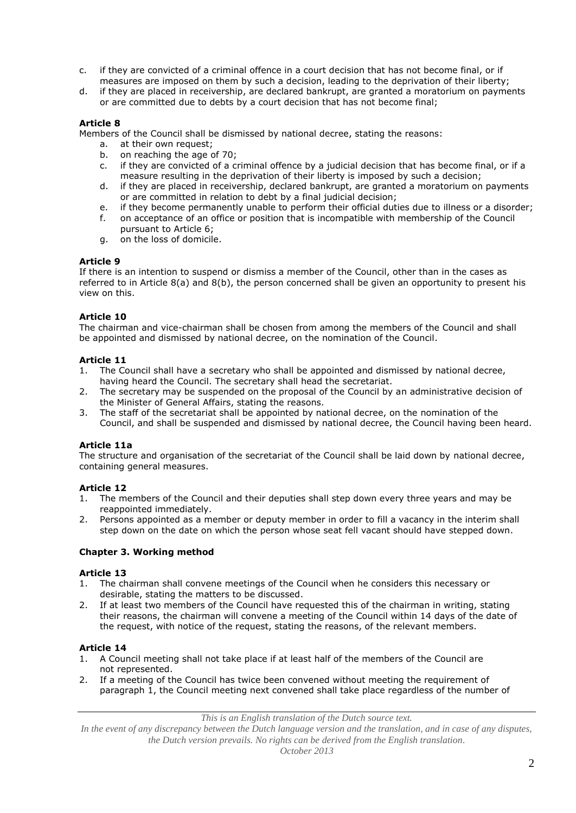- c. if they are convicted of a criminal offence in a court decision that has not become final, or if measures are imposed on them by such a decision, leading to the deprivation of their liberty;
- d. if they are placed in receivership, are declared bankrupt, are granted a moratorium on payments or are committed due to debts by a court decision that has not become final;

# **Article 8**

Members of the Council shall be dismissed by national decree, stating the reasons:

- a. at their own request;
- b. on reaching the age of 70;
- c. if they are convicted of a criminal offence by a judicial decision that has become final, or if a measure resulting in the deprivation of their liberty is imposed by such a decision;
- d. if they are placed in receivership, declared bankrupt, are granted a moratorium on payments or are committed in relation to debt by a final judicial decision;
- e. if they become permanently unable to perform their official duties due to illness or a disorder;
- f. on acceptance of an office or position that is incompatible with membership of the Council pursuant to Article 6;
- g. on the loss of domicile.

### **Article 9**

If there is an intention to suspend or dismiss a member of the Council, other than in the cases as referred to in Article 8(a) and 8(b), the person concerned shall be given an opportunity to present his view on this.

# **Article 10**

The chairman and vice-chairman shall be chosen from among the members of the Council and shall be appointed and dismissed by national decree, on the nomination of the Council.

### **Article 11**

- 1. The Council shall have a secretary who shall be appointed and dismissed by national decree, having heard the Council. The secretary shall head the secretariat.
- 2. The secretary may be suspended on the proposal of the Council by an administrative decision of the Minister of General Affairs, stating the reasons.
- 3. The staff of the secretariat shall be appointed by national decree, on the nomination of the Council, and shall be suspended and dismissed by national decree, the Council having been heard.

# **Article 11a**

The structure and organisation of the secretariat of the Council shall be laid down by national decree, containing general measures.

# **Article 12**

- 1. The members of the Council and their deputies shall step down every three years and may be reappointed immediately.
- 2. Persons appointed as a member or deputy member in order to fill a vacancy in the interim shall step down on the date on which the person whose seat fell vacant should have stepped down.

#### **Chapter 3. Working method**

#### **Article 13**

- 1. The chairman shall convene meetings of the Council when he considers this necessary or desirable, stating the matters to be discussed.
- 2. If at least two members of the Council have requested this of the chairman in writing, stating their reasons, the chairman will convene a meeting of the Council within 14 days of the date of the request, with notice of the request, stating the reasons, of the relevant members.

#### **Article 14**

- 1. A Council meeting shall not take place if at least half of the members of the Council are not represented.
- 2. If a meeting of the Council has twice been convened without meeting the requirement of paragraph 1, the Council meeting next convened shall take place regardless of the number of

*This is an English translation of the Dutch source text.*

*In the event of any discrepancy between the Dutch language version and the translation, and in case of any disputes, the Dutch version prevails. No rights can be derived from the English translation.*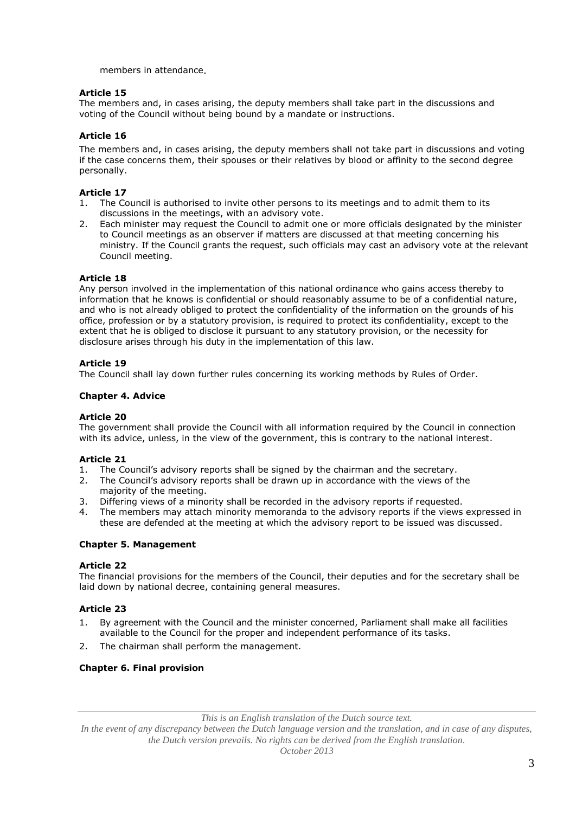members in attendance.

# **Article 15**

The members and, in cases arising, the deputy members shall take part in the discussions and voting of the Council without being bound by a mandate or instructions.

# **Article 16**

The members and, in cases arising, the deputy members shall not take part in discussions and voting if the case concerns them, their spouses or their relatives by blood or affinity to the second degree personally.

# **Article 17**

- The Council is authorised to invite other persons to its meetings and to admit them to its discussions in the meetings, with an advisory vote.
- 2. Each minister may request the Council to admit one or more officials designated by the minister to Council meetings as an observer if matters are discussed at that meeting concerning his ministry. If the Council grants the request, such officials may cast an advisory vote at the relevant Council meeting.

# **Article 18**

Any person involved in the implementation of this national ordinance who gains access thereby to information that he knows is confidential or should reasonably assume to be of a confidential nature, and who is not already obliged to protect the confidentiality of the information on the grounds of his office, profession or by a statutory provision, is required to protect its confidentiality, except to the extent that he is obliged to disclose it pursuant to any statutory provision, or the necessity for disclosure arises through his duty in the implementation of this law.

# **Article 19**

The Council shall lay down further rules concerning its working methods by Rules of Order.

# **Chapter 4. Advice**

# **Article 20**

The government shall provide the Council with all information required by the Council in connection with its advice, unless, in the view of the government, this is contrary to the national interest.

# **Article 21**

- 1. The Council's advisory reports shall be signed by the chairman and the secretary.
- 2. The Council's advisory reports shall be drawn up in accordance with the views of the majority of the meeting.
- 3. Differing views of a minority shall be recorded in the advisory reports if requested.
- 4. The members may attach minority memoranda to the advisory reports if the views expressed in these are defended at the meeting at which the advisory report to be issued was discussed.

# **Chapter 5. Management**

# **Article 22**

The financial provisions for the members of the Council, their deputies and for the secretary shall be laid down by national decree, containing general measures.

# **Article 23**

- 1. By agreement with the Council and the minister concerned, Parliament shall make all facilities available to the Council for the proper and independent performance of its tasks.
- 2. The chairman shall perform the management.

# **Chapter 6. Final provision**

*This is an English translation of the Dutch source text.*

In the event of any discrepancy between the Dutch language version and the translation, and in case of any disputes, *the Dutch version prevails. No rights can be derived from the English translation.*

*October 2013*